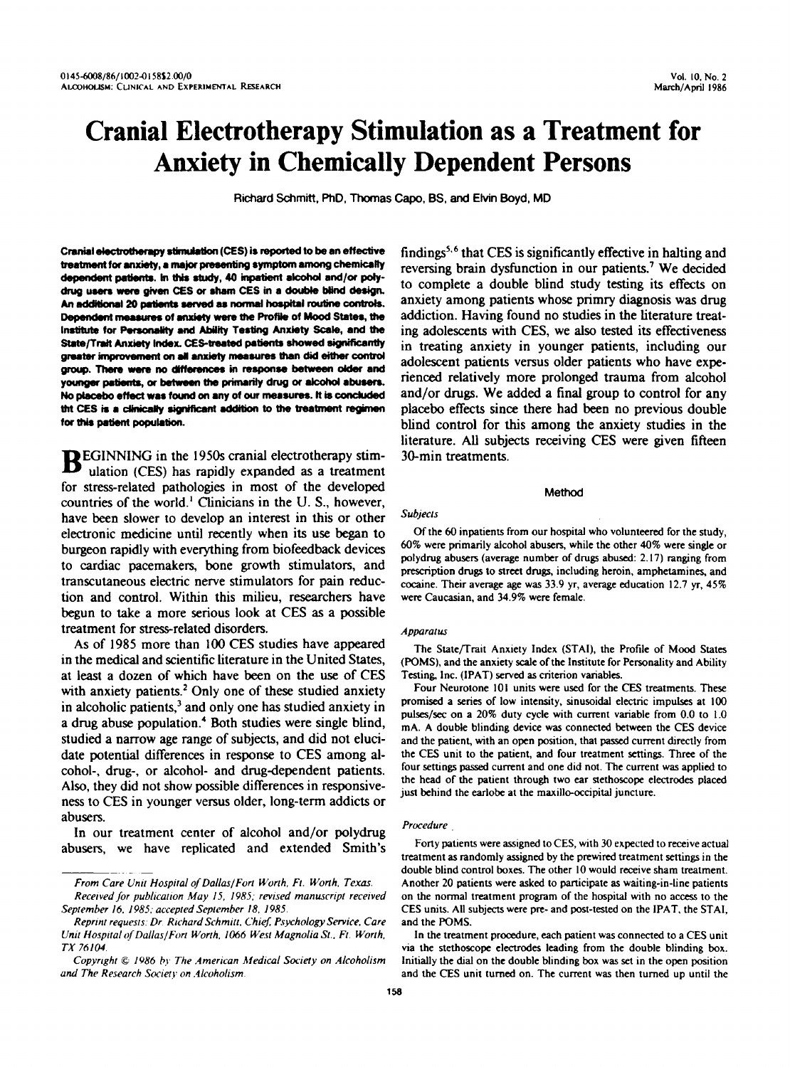# **Cranial Electrotherapy Stimulation as a Treatment for Anxiety in Chemically Dependent Persons**

**Richard** Schmitt, PhD, **Thomas** *Capo,* **BS, and Ehrin Boyd, MD** 

Cranial electrotherapy stimulation (CES) is reported to be an effective treatment for anxiety, a major presenting symptom among chemically dependent patients. In this study, 40 inpatient alcohol and/or polydrug users were given CES or sham CES in a double blind design. An additional 20 patients served as normal hospital routine controls. Dependent measures of anxiety were the Profile of Mood States, the Institute for Personality and Ability Testing Anxiety Scale, and the State/Trait Anxiety Index, CES-treated patients showed significantly greater improvement on all anxiety measures than did either control group. There were no differences in response between older and younger patients, or between the primarily drug or alcohol abusers. No placebo effect was found on any of our measures. It is concluded tht CES is a clinically significant addition to the treatment regimen for this patient population.

**EGINNING** in the 1950s cranial electrotherapy stim-<br>ulation (CES) has rapidly expanded as a treatment for stress-related pathologies in most of the developed countries of the world.' Clinicians in the U. S., however, have been slower **to** develop an interest in this or other electronic medicine until recently when its use began to burgeon rapidly with everything from biofeedback devices to cardiac pacemakers, bone growth stimulators, and transcutaneous electric nerve stimulators for pain reduction and control. Within this milieu, researchers have begun to take a more serious look at **CES as** a possible treatment for stress-related disorders.

**As** of 1985 more than 100 **CES** studies have appeared in the medical and scientific literature in the United States, at least a dozen of which have been on the use of **CES**  with anxiety patients.<sup>2</sup> Only one of these studied anxiety in alcoholic patients, $<sup>3</sup>$  and only one has studied anxiety in</sup> a drug abuse population.<sup>4</sup> Both studies were single blind, studied a narrow age range of subjects, and did not elucidate potential differences in response to **CES** among alcohol-, drug-, or alcohol- and drug-dependent patients. Also, they did not show possible differences in responsiveness to CES in younger versus older, long-term addicts or abusers.

In our treatment center of alcohol and/or polydrug abusers, we have replicated and extended Smith's

*From Care Unit Hospital* of *Dallas/Fort Worlh. Ft. Worth. Texas.* 

*Received for publication Muy IS. 198s; revised manuscript received September 16. 1985; accepted September 18, 198s.* 

findings<sup>5,6</sup> that CES is significantly effective in halting and reversing brain dysfunction in our patients.' We decided to complete a double blind study testing its effects on anxiety among patients whose primry diagnosis was drug addiction. Having found no studies in the literature treating adolescents with **CES,** we also tested its effectiveness in treating anxiety in younger patients, including our adolescent patients versus older patients who have experienced relatively more prolonged trauma from alcohol and/or **drugs.** We added **a** final group to control for any placebo effects since there had been no previous double blind control for **this** among the anxiety studies in the literature. **AU** subjects receiving **CES** were given fifteen 30-min treatments.

## **Method**

*Subjects* 

Of the 60 inpatients from our hospital who volunteered for the study, 60% were primarily alcohol abusers, while the other 40% were single or polydrug abusers (average number of drugs abused: 2.17) ranging from prescription drugs to street drugs, including heroin, amphetamines, and cocaine. Their average age was **33.9** yr, average education 12.7 **yr, 45%**  were Caucasian. and **34.9%** were female.

#### *Apparatus*

The State/Trait Anxiety Index (STAI), the Profile of **Mood** States **(POMS),** and the anxiety scale of the Institute for Personality and Ability Testing, Inc. (IPAT) **served as** criterion variables.

Four Neurotone 101 units were used for the CES treatments. These promised a **series** of low intensity, sinusoidal electric impulses at 100 pulses/sec on a 20% duty cycle with current variable from 0.0 to 1.0 mA. A double blinding device was connected between the CES device and the patient, with an open position, that passed current directly from the CES unit to the patient, and four treatment settings. Three of the four settings passed current and one did not. The current was applied to the head of the patient through two ear stethoscope electrodes placed just behind the **earlobe** at the maxillo-occipital juncture.

#### *Procedure* ,

Forty patients were assigned to CES, with **30** expected to receive actual treatment **as** randomly assigned by the prewired treatment settings in the double blind control boxes. The other **10** would receive sham treatment. Another 20 patients were asked to participate **as** waiting-in-line patients on the normal treatment program of the hospital with no access to the CES units. All subjects were pre- and post-tested on the IPAT, the STAI, and the **POMS.** 

In the treatment procedure, each patient was connected to a CES unit via the stethoscope electrodes leading from the double blinding **box.**  Initially the dial on the double blinding **box** was set in the open position and the CES unit turned on. The current was then turned up until the

*Reprint requests. Dr Richard Schmiu, Chid Psychology Sewice, Care*  Unit Hospital of Dallas/Fort Worth, 1066 West Magnolia St., Ft. Worth, *TX 76104* 

*Copyright* Q *1986* **1?,.** *The '4merican Medical Society on Alcoholism and The Research Society on .4lcoholism.*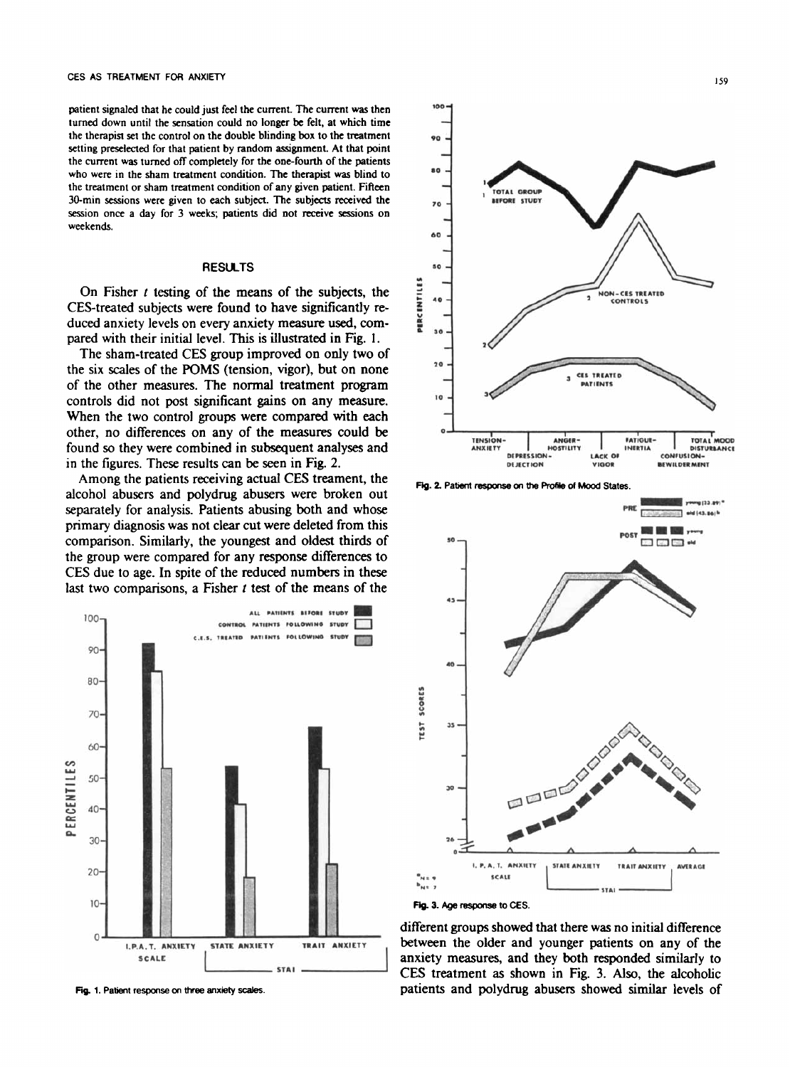patient signaled that he could just feel the current. The current was then turned down until the sensation could no longer **be** felt, at which time the therapist set the control on the double blinding **box** to the treatment setting preselected for that patient by random assignment. At that point the current was turned off completely for the one-fourth of the patients who were in the sham treatment condition. The therapist was blind **to**  the treatment or sham treatment condition of any given patient. Fifteen 30-min sessions were given to each subject. The subjects received the session once **a** day for 3 weeks, patients did not receive **sessions** on weekends.

## **RESULTS**

On Fisher *t* testing of the means of the subjects, the CES-treated subjects were found to have significantly reduced anxiety levels on every anxiety measure used, compared with their initial level. This is illustrated in Fig. 1.

The sham-treated **CES** group improved on only two of the six scales of the **POMS** (tension, vigor), but on none of the other measures. The normal treatment program controls did not post significant **gains** on any measure. When the two control groups were compared with each other, no differences on any of the measures could be found *so* they were combined in subsequent analyses and in the figures. These results can be seen in Fig. 2.

Among the patients receiving actual CES treament, the alcohol abusers and polydrug abusers were broken out separately for analysis. Patients abusing **both** and whose primary diagnosis was not clear cut were deleted from this comparison. Similarly, the youngest and oldest thirds of the group were compared for any response differences to **CES** due to age. In spite of the reduced numbers in these last two comparisons, a Fisher *t* test of the means of the



**Fig. 1. Patient response** *on* **three anxiety** xales.



**Fig. 2. Patient response on the Profile of Mood States.** 



different groups showed that there was no initial difference between the older and younger patients on any of the anxiety measures, and they both responded similarly to CES treatment **as** shown in Fig. 3. *Also,* the alcoholic patients and polydrug abusers showed **similar** levels of